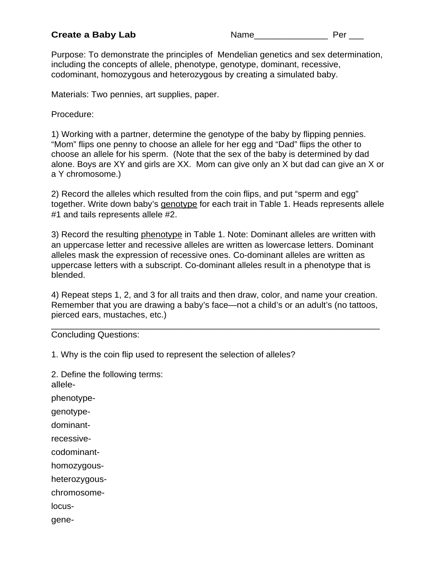Purpose: To demonstrate the principles of Mendelian genetics and sex determination, including the concepts of allele, phenotype, genotype, dominant, recessive, codominant, homozygous and heterozygous by creating a simulated baby.

Materials: Two pennies, art supplies, paper.

Procedure:

1) Working with a partner, determine the genotype of the baby by flipping pennies. "Mom" flips one penny to choose an allele for her egg and "Dad" flips the other to choose an allele for his sperm. (Note that the sex of the baby is determined by dad alone. Boys are XY and girls are XX. Mom can give only an X but dad can give an X or a Y chromosome.)

2) Record the alleles which resulted from the coin flips, and put "sperm and egg" together. Write down baby's genotype for each trait in Table 1. Heads represents allele #1 and tails represents allele #2.

3) Record the resulting phenotype in Table 1. Note: Dominant alleles are written with an uppercase letter and recessive alleles are written as lowercase letters. Dominant alleles mask the expression of recessive ones. Co-dominant alleles are written as uppercase letters with a subscript. Co-dominant alleles result in a phenotype that is blended.

4) Repeat steps 1, 2, and 3 for all traits and then draw, color, and name your creation. Remember that you are drawing a baby's face—not a child's or an adult's (no tattoos, pierced ears, mustaches, etc.)

\_\_\_\_\_\_\_\_\_\_\_\_\_\_\_\_\_\_\_\_\_\_\_\_\_\_\_\_\_\_\_\_\_\_\_\_\_\_\_\_\_\_\_\_\_\_\_\_\_\_\_\_\_\_\_\_\_\_\_\_\_\_\_\_\_\_

Concluding Questions:

1. Why is the coin flip used to represent the selection of alleles?

2. Define the following terms: allelephenotypegenotypedominantrecessivecodominanthomozygousheterozygouschromosomelocusgene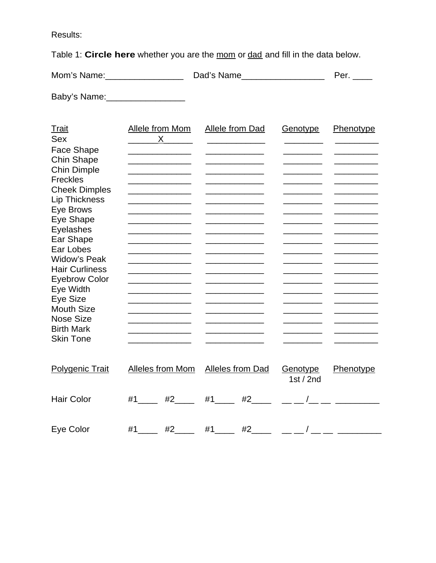Results:

Table 1: Circle here whether you are the mom or dad and fill in the data below.

| Mom's Name: | Dad's Name | Per. |
|-------------|------------|------|
|             |            |      |

Baby's Name: \_\_\_\_\_\_\_\_\_\_\_\_\_\_\_\_\_

| <b>Trait</b>           | Allele from Mom                                                                                                                                                                                                                      | <b>Allele from Dad</b>                      | Genotype       | Phenotype |
|------------------------|--------------------------------------------------------------------------------------------------------------------------------------------------------------------------------------------------------------------------------------|---------------------------------------------|----------------|-----------|
| <b>Sex</b>             | X.                                                                                                                                                                                                                                   |                                             |                |           |
| Face Shape             | <u> 1989 - Johann Stein, mars an t-Amerikaansk ferske</u>                                                                                                                                                                            |                                             |                |           |
| <b>Chin Shape</b>      | <u> 1990 - Johann Barbara, martin a</u>                                                                                                                                                                                              |                                             |                |           |
| <b>Chin Dimple</b>     | <u> 1990 - Johann Barbara, martin a</u>                                                                                                                                                                                              | <u> 1989 - Johann Barn, mars ann an t-A</u> |                |           |
| <b>Freckles</b>        |                                                                                                                                                                                                                                      |                                             |                |           |
| <b>Cheek Dimples</b>   | <u> 1999 - Johann John Harry Harry Harry Harry Harry Harry Harry Harry Harry Harry Harry Harry Harry Harry Harry Harry Harry Harry Harry Harry Harry Harry Harry Harry Harry Harry Harry Harry Harry Harry Harry Harry Harry Har</u> |                                             |                |           |
| <b>Lip Thickness</b>   |                                                                                                                                                                                                                                      |                                             |                |           |
| Eye Brows              | <u> 1980 - John Harry Harry Harry Harry Harry Harry Harry Harry Harry Harry Harry Harry Harry Harry Harry Harry H</u>                                                                                                                |                                             |                |           |
| Eye Shape              |                                                                                                                                                                                                                                      |                                             |                |           |
| Eyelashes              | _______________________                                                                                                                                                                                                              |                                             |                |           |
| Ear Shape              |                                                                                                                                                                                                                                      |                                             |                |           |
| Ear Lobes              |                                                                                                                                                                                                                                      |                                             |                |           |
| <b>Widow's Peak</b>    | <u> 1989 - Johann Barn, mars and de Branch Barn, mars and de Branch Barn, mars and de Branch Barn, mars and de Br</u>                                                                                                                |                                             |                |           |
| <b>Hair Curliness</b>  |                                                                                                                                                                                                                                      |                                             |                |           |
| <b>Eyebrow Color</b>   |                                                                                                                                                                                                                                      |                                             |                |           |
| Eye Width              |                                                                                                                                                                                                                                      |                                             |                |           |
| Eye Size               |                                                                                                                                                                                                                                      |                                             |                |           |
| <b>Mouth Size</b>      |                                                                                                                                                                                                                                      |                                             |                |           |
| <b>Nose Size</b>       |                                                                                                                                                                                                                                      |                                             |                |           |
| <b>Birth Mark</b>      |                                                                                                                                                                                                                                      |                                             |                |           |
| <b>Skin Tone</b>       |                                                                                                                                                                                                                                      |                                             |                |           |
|                        |                                                                                                                                                                                                                                      |                                             |                |           |
| <b>Polygenic Trait</b> | Alleles from Mom                                                                                                                                                                                                                     | <b>Alleles from Dad</b>                     | Genotype       | Phenotype |
|                        |                                                                                                                                                                                                                                      |                                             | 1st / $2nd$    |           |
|                        |                                                                                                                                                                                                                                      |                                             |                |           |
| <b>Hair Color</b>      | #2<br>#1                                                                                                                                                                                                                             | #1<br>#2                                    |                |           |
|                        |                                                                                                                                                                                                                                      |                                             |                |           |
|                        |                                                                                                                                                                                                                                      |                                             |                |           |
| Eye Color              | #2<br>#1                                                                                                                                                                                                                             | #2<br>#1                                    | $-1$ $-1$ $ -$ |           |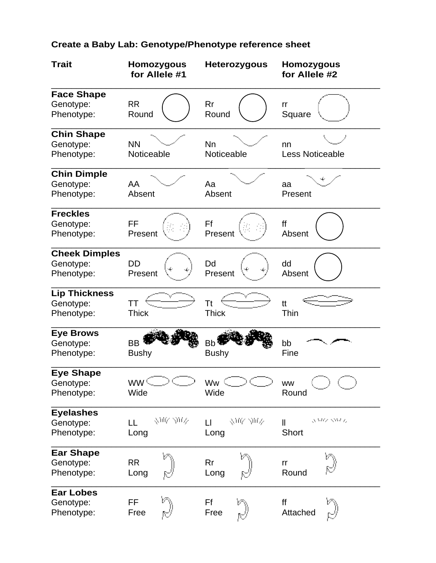## **Create a Baby Lab: Genotype/Phenotype reference sheet**

| <b>Trait</b>                                    | <b>Homozygous</b><br>for Allele #1 | <b>Heterozygous</b>            | <b>Homozygous</b><br>for Allele #2       |
|-------------------------------------------------|------------------------------------|--------------------------------|------------------------------------------|
| <b>Face Shape</b><br>Genotype:<br>Phenotype:    | <b>RR</b><br>Round                 | Rr<br>Round                    | rr<br>Square                             |
| <b>Chin Shape</b><br>Genotype:<br>Phenotype:    | <b>NN</b><br>Noticeable            | <b>Nn</b><br>Noticeable        | nn<br><b>Less Noticeable</b>             |
| <b>Chin Dimple</b><br>Genotype:<br>Phenotype:   | AA<br>Absent                       | Aa<br>Absent                   | aa<br>Present                            |
| <b>Freckles</b><br>Genotype:<br>Phenotype:      | FF<br>Present                      | Ff<br>Present                  | ff<br>Absent                             |
| <b>Cheek Dimples</b><br>Genotype:<br>Phenotype: | <b>DD</b><br>Present               | Dd<br>Present                  | dd<br>Absent                             |
| <b>Lip Thickness</b><br>Genotype:<br>Phenotype: | TT<br><b>Thick</b>                 | Tt<br><b>Thick</b>             | tt<br>Thin                               |
| <b>Eye Brows</b><br>Genotype:<br>Phenotype:     | <b>BB</b><br><b>Bushy</b>          | B <sub>b</sub><br><b>Bushy</b> | bb<br>Fine                               |
| <b>Eye Shape</b><br>Genotype:<br>Phenotype:     | ww <sup>c</sup><br>Wide            | Ww<br>Wide                     | <b>WW</b><br>Round                       |
| <b>Eyelashes</b><br>Genotype:<br>Phenotype:     | グルーカバ<br>LL<br>Long                | ク吸 カバ<br>$\mathsf{L}$<br>Long  | SAW SM 6<br>$\mathbf{I}$<br><b>Short</b> |
| <b>Ear Shape</b><br>Genotype:<br>Phenotype:     | <b>RR</b><br>Long                  | Rr<br>Long                     | rr<br>Round                              |
| <b>Ear Lobes</b><br>Genotype:<br>Phenotype:     | FF<br>Free                         | Ff<br>Free                     | ff<br>Attached                           |